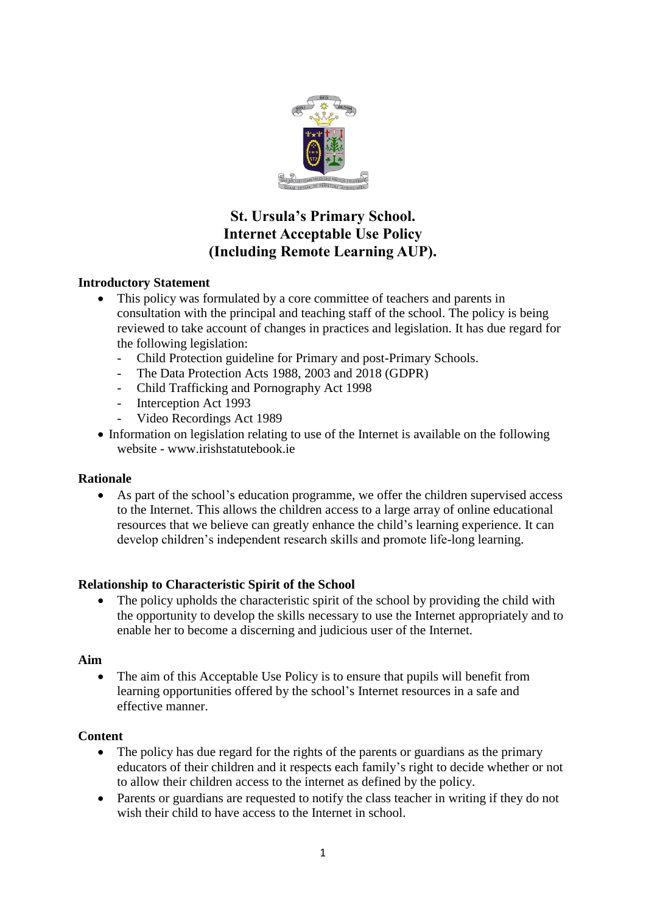

# **St. Ursula's Primary School. Internet Acceptable Use Policy (Including Remote Learning AUP).**

# **Introductory Statement**

- This policy was formulated by a core committee of teachers and parents in consultation with the principal and teaching staff of the school. The policy is being reviewed to take account of changes in practices and legislation. It has due regard for the following legislation:
	- Child Protection guideline for Primary and post-Primary Schools.
	- The Data Protection Acts 1988, 2003 and 2018 (GDPR)
	- Child Trafficking and Pornography Act 1998
	- Interception Act 1993
	- Video Recordings Act 1989
- Information on legislation relating to use of the Internet is available on the following website - www.irishstatutebook.ie

#### **Rationale**

• As part of the school's education programme, we offer the children supervised access to the Internet. This allows the children access to a large array of online educational resources that we believe can greatly enhance the child's learning experience. It can develop children's independent research skills and promote life-long learning.

## **Relationship to Characteristic Spirit of the School**

• The policy upholds the characteristic spirit of the school by providing the child with the opportunity to develop the skills necessary to use the Internet appropriately and to enable her to become a discerning and judicious user of the Internet.

#### **Aim**

• The aim of this Acceptable Use Policy is to ensure that pupils will benefit from learning opportunities offered by the school's Internet resources in a safe and effective manner.

#### **Content**

- The policy has due regard for the rights of the parents or guardians as the primary educators of their children and it respects each family's right to decide whether or not to allow their children access to the internet as defined by the policy.
- Parents or guardians are requested to notify the class teacher in writing if they do not wish their child to have access to the Internet in school.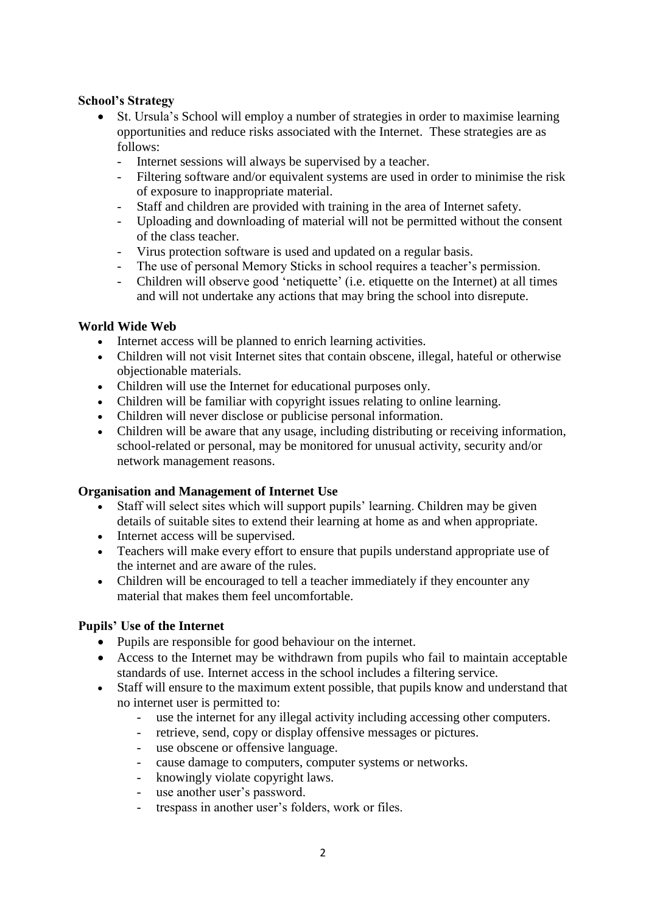#### **School's Strategy**

- St. Ursula's School will employ a number of strategies in order to maximise learning opportunities and reduce risks associated with the Internet. These strategies are as follows:
	- Internet sessions will always be supervised by a teacher.
	- Filtering software and/or equivalent systems are used in order to minimise the risk of exposure to inappropriate material.
	- Staff and children are provided with training in the area of Internet safety.
	- Uploading and downloading of material will not be permitted without the consent of the class teacher.
	- Virus protection software is used and updated on a regular basis.
	- The use of personal Memory Sticks in school requires a teacher's permission.
	- Children will observe good 'netiquette' (i.e. etiquette on the Internet) at all times and will not undertake any actions that may bring the school into disrepute.

#### **World Wide Web**

- Internet access will be planned to enrich learning activities.
- Children will not visit Internet sites that contain obscene, illegal, hateful or otherwise objectionable materials.
- Children will use the Internet for educational purposes only.
- Children will be familiar with copyright issues relating to online learning.
- Children will never disclose or publicise personal information.
- Children will be aware that any usage, including distributing or receiving information, school-related or personal, may be monitored for unusual activity, security and/or network management reasons.

#### **Organisation and Management of Internet Use**

- Staff will select sites which will support pupils' learning. Children may be given details of suitable sites to extend their learning at home as and when appropriate.
- Internet access will be supervised.
- Teachers will make every effort to ensure that pupils understand appropriate use of the internet and are aware of the rules.
- Children will be encouraged to tell a teacher immediately if they encounter any material that makes them feel uncomfortable.

#### **Pupils' Use of the Internet**

- Pupils are responsible for good behaviour on the internet.
- Access to the Internet may be withdrawn from pupils who fail to maintain acceptable standards of use. Internet access in the school includes a filtering service.
- Staff will ensure to the maximum extent possible, that pupils know and understand that no internet user is permitted to:
	- use the internet for any illegal activity including accessing other computers.
	- retrieve, send, copy or display offensive messages or pictures.
	- use obscene or offensive language.
	- cause damage to computers, computer systems or networks.
	- knowingly violate copyright laws.
	- use another user's password.
	- trespass in another user's folders, work or files.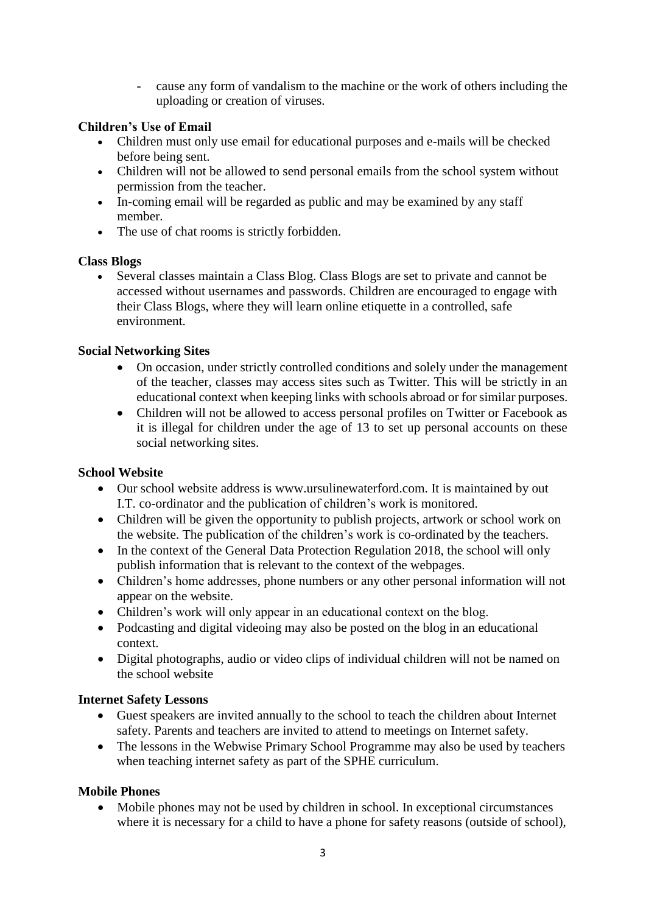- cause any form of vandalism to the machine or the work of others including the uploading or creation of viruses.

# **Children's Use of Email**

- Children must only use email for educational purposes and e-mails will be checked before being sent.
- Children will not be allowed to send personal emails from the school system without permission from the teacher.
- In-coming email will be regarded as public and may be examined by any staff member.
- The use of chat rooms is strictly forbidden.

## **Class Blogs**

• Several classes maintain a Class Blog. Class Blogs are set to private and cannot be accessed without usernames and passwords. Children are encouraged to engage with their Class Blogs, where they will learn online etiquette in a controlled, safe environment.

# **Social Networking Sites**

- On occasion, under strictly controlled conditions and solely under the management of the teacher, classes may access sites such as Twitter. This will be strictly in an educational context when keeping links with schools abroad or for similar purposes.
- Children will not be allowed to access personal profiles on Twitter or Facebook as it is illegal for children under the age of 13 to set up personal accounts on these social networking sites.

## **School Website**

- Our school website address is www.ursulinewaterford.com. It is maintained by out I.T. co-ordinator and the publication of children's work is monitored.
- Children will be given the opportunity to publish projects, artwork or school work on the website. The publication of the children's work is co-ordinated by the teachers.
- In the context of the General Data Protection Regulation 2018, the school will only publish information that is relevant to the context of the webpages.
- Children's home addresses, phone numbers or any other personal information will not appear on the website.
- Children's work will only appear in an educational context on the blog.
- Podcasting and digital videoing may also be posted on the blog in an educational context.
- Digital photographs, audio or video clips of individual children will not be named on the school website

## **Internet Safety Lessons**

- Guest speakers are invited annually to the school to teach the children about Internet safety. Parents and teachers are invited to attend to meetings on Internet safety.
- The lessons in the Webwise Primary School Programme may also be used by teachers when teaching internet safety as part of the SPHE curriculum.

# **Mobile Phones**

• Mobile phones may not be used by children in school. In exceptional circumstances where it is necessary for a child to have a phone for safety reasons (outside of school),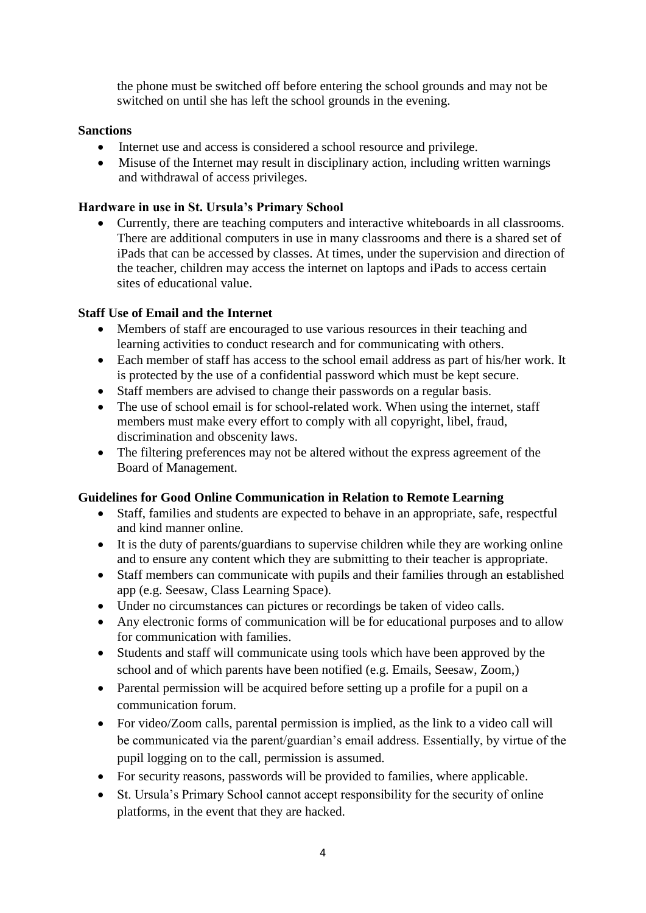the phone must be switched off before entering the school grounds and may not be switched on until she has left the school grounds in the evening.

## **Sanctions**

- Internet use and access is considered a school resource and privilege.
- Misuse of the Internet may result in disciplinary action, including written warnings and withdrawal of access privileges.

#### **Hardware in use in St. Ursula's Primary School**

• Currently, there are teaching computers and interactive whiteboards in all classrooms. There are additional computers in use in many classrooms and there is a shared set of iPads that can be accessed by classes. At times, under the supervision and direction of the teacher, children may access the internet on laptops and iPads to access certain sites of educational value.

## **Staff Use of Email and the Internet**

- Members of staff are encouraged to use various resources in their teaching and learning activities to conduct research and for communicating with others.
- Each member of staff has access to the school email address as part of his/her work. It is protected by the use of a confidential password which must be kept secure.
- Staff members are advised to change their passwords on a regular basis.
- The use of school email is for school-related work. When using the internet, staff members must make every effort to comply with all copyright, libel, fraud, discrimination and obscenity laws.
- The filtering preferences may not be altered without the express agreement of the Board of Management.

#### **Guidelines for Good Online Communication in Relation to Remote Learning**

- Staff, families and students are expected to behave in an appropriate, safe, respectful and kind manner online.
- It is the duty of parents/guardians to supervise children while they are working online and to ensure any content which they are submitting to their teacher is appropriate.
- Staff members can communicate with pupils and their families through an established app (e.g. Seesaw, Class Learning Space).
- Under no circumstances can pictures or recordings be taken of video calls.
- Any electronic forms of communication will be for educational purposes and to allow for communication with families.
- Students and staff will communicate using tools which have been approved by the school and of which parents have been notified (e.g. Emails, Seesaw, Zoom,)
- Parental permission will be acquired before setting up a profile for a pupil on a communication forum.
- For video/Zoom calls, parental permission is implied, as the link to a video call will be communicated via the parent/guardian's email address. Essentially, by virtue of the pupil logging on to the call, permission is assumed.
- For security reasons, passwords will be provided to families, where applicable.
- St. Ursula's Primary School cannot accept responsibility for the security of online platforms, in the event that they are hacked.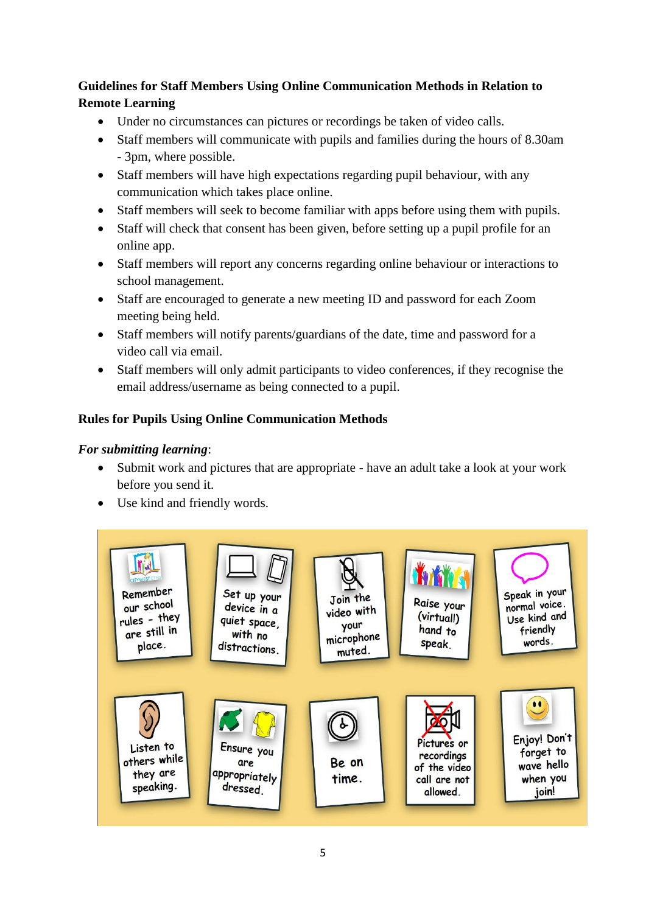# **Guidelines for Staff Members Using Online Communication Methods in Relation to Remote Learning**

- Under no circumstances can pictures or recordings be taken of video calls.
- Staff members will communicate with pupils and families during the hours of 8.30am - 3pm, where possible.
- Staff members will have high expectations regarding pupil behaviour, with any communication which takes place online.
- Staff members will seek to become familiar with apps before using them with pupils.
- Staff will check that consent has been given, before setting up a pupil profile for an online app.
- Staff members will report any concerns regarding online behaviour or interactions to school management.
- Staff are encouraged to generate a new meeting ID and password for each Zoom meeting being held.
- Staff members will notify parents/guardians of the date, time and password for a video call via email.
- Staff members will only admit participants to video conferences, if they recognise the email address/username as being connected to a pupil.

# **Rules for Pupils Using Online Communication Methods**

# *For submitting learning*:

- Submit work and pictures that are appropriate have an adult take a look at your work before you send it.
- Use kind and friendly words.

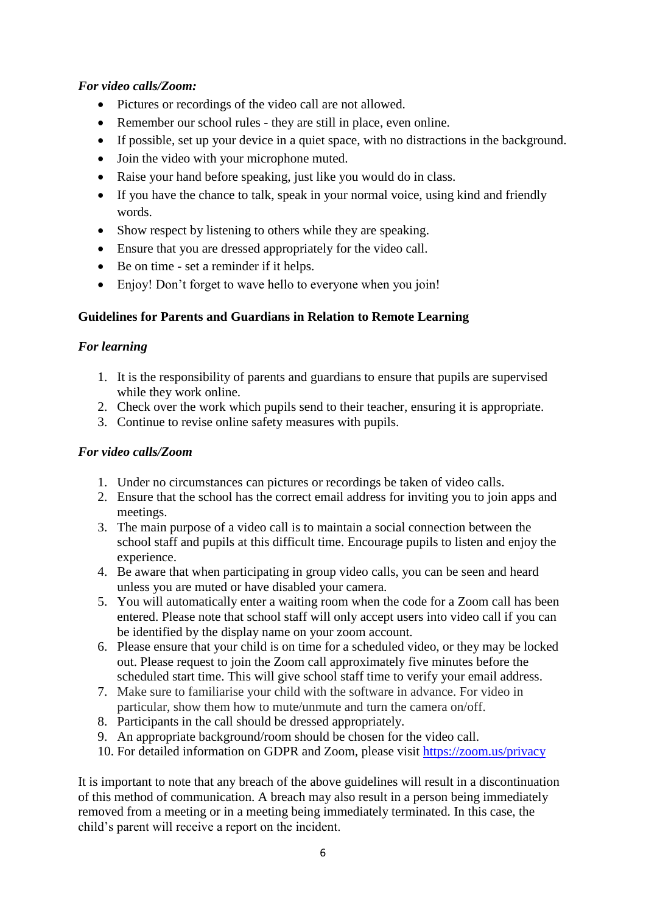# *For video calls/Zoom:*

- Pictures or recordings of the video call are not allowed.
- Remember our school rules they are still in place, even online.
- If possible, set up your device in a quiet space, with no distractions in the background.
- Join the video with your microphone muted.
- Raise your hand before speaking, just like you would do in class.
- If you have the chance to talk, speak in your normal voice, using kind and friendly words.
- Show respect by listening to others while they are speaking.
- Ensure that you are dressed appropriately for the video call.
- Be on time set a reminder if it helps.
- Enjoy! Don't forget to wave hello to everyone when you join!

# **Guidelines for Parents and Guardians in Relation to Remote Learning**

## *For learning*

- 1. It is the responsibility of parents and guardians to ensure that pupils are supervised while they work online.
- 2. Check over the work which pupils send to their teacher, ensuring it is appropriate.
- 3. Continue to revise online safety measures with pupils.

## *For video calls/Zoom*

- 1. Under no circumstances can pictures or recordings be taken of video calls.
- 2. Ensure that the school has the correct email address for inviting you to join apps and meetings.
- 3. The main purpose of a video call is to maintain a social connection between the school staff and pupils at this difficult time. Encourage pupils to listen and enjoy the experience.
- 4. Be aware that when participating in group video calls, you can be seen and heard unless you are muted or have disabled your camera.
- 5. You will automatically enter a waiting room when the code for a Zoom call has been entered. Please note that school staff will only accept users into video call if you can be identified by the display name on your zoom account.
- 6. Please ensure that your child is on time for a scheduled video, or they may be locked out. Please request to join the Zoom call approximately five minutes before the scheduled start time. This will give school staff time to verify your email address.
- 7. Make sure to familiarise your child with the software in advance. For video in particular, show them how to mute/unmute and turn the camera on/off.
- 8. Participants in the call should be dressed appropriately.
- 9. An appropriate background/room should be chosen for the video call.
- 10. For detailed information on GDPR and Zoom, please visit <https://zoom.us/privacy>

It is important to note that any breach of the above guidelines will result in a discontinuation of this method of communication. A breach may also result in a person being immediately removed from a meeting or in a meeting being immediately terminated. In this case, the child's parent will receive a report on the incident.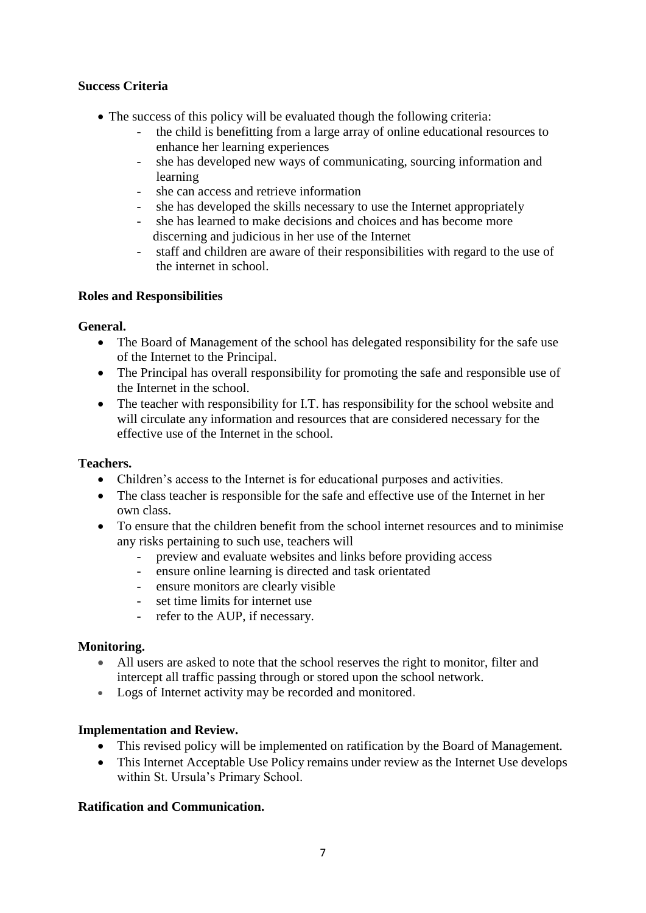# **Success Criteria**

- The success of this policy will be evaluated though the following criteria:
	- the child is benefitting from a large array of online educational resources to enhance her learning experiences
	- she has developed new ways of communicating, sourcing information and learning
	- she can access and retrieve information
	- she has developed the skills necessary to use the Internet appropriately
	- she has learned to make decisions and choices and has become more discerning and judicious in her use of the Internet
	- staff and children are aware of their responsibilities with regard to the use of the internet in school.

#### **Roles and Responsibilities**

#### **General.**

- The Board of Management of the school has delegated responsibility for the safe use of the Internet to the Principal.
- The Principal has overall responsibility for promoting the safe and responsible use of the Internet in the school.
- The teacher with responsibility for I.T. has responsibility for the school website and will circulate any information and resources that are considered necessary for the effective use of the Internet in the school.

#### **Teachers.**

- Children's access to the Internet is for educational purposes and activities.
- The class teacher is responsible for the safe and effective use of the Internet in her own class.
- To ensure that the children benefit from the school internet resources and to minimise any risks pertaining to such use, teachers will
	- preview and evaluate websites and links before providing access
	- ensure online learning is directed and task orientated
	- ensure monitors are clearly visible
	- set time limits for internet use
	- refer to the AUP, if necessary.

#### **Monitoring.**

- All users are asked to note that the school reserves the right to monitor, filter and intercept all traffic passing through or stored upon the school network.
- Logs of Internet activity may be recorded and monitored.

#### **Implementation and Review.**

- This revised policy will be implemented on ratification by the Board of Management.
- This Internet Acceptable Use Policy remains under review as the Internet Use develops within St. Ursula's Primary School.

## **Ratification and Communication.**